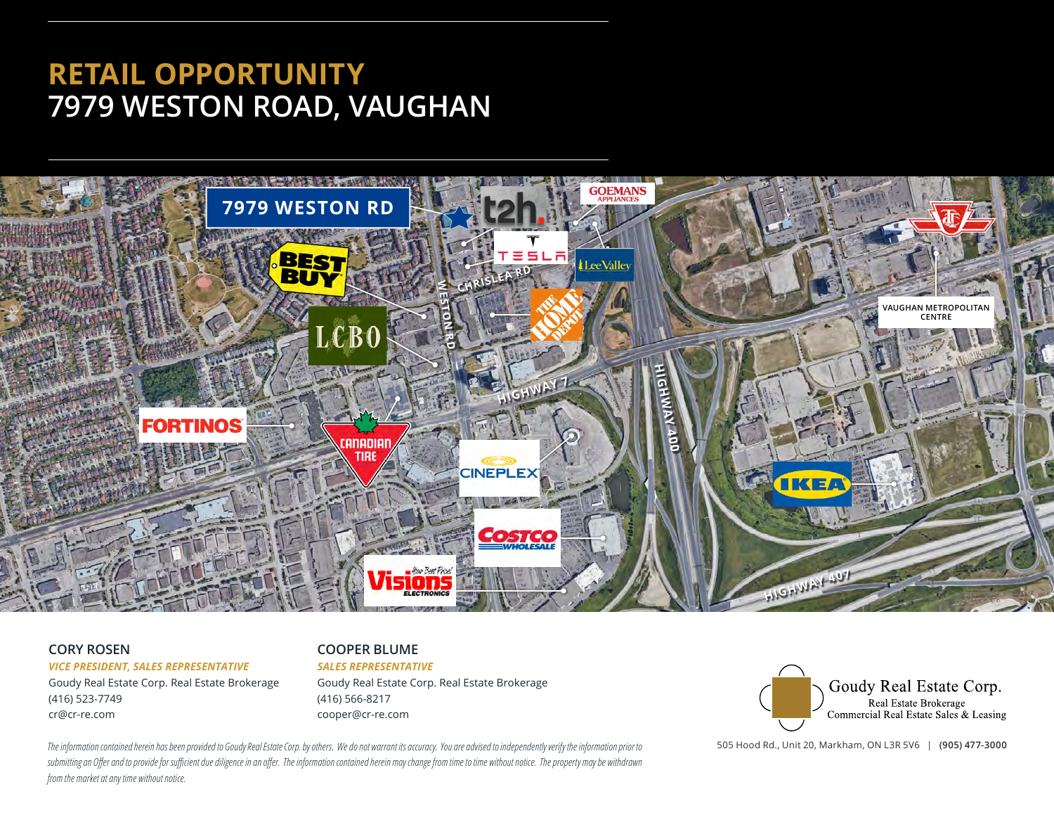# **RETAIL OPPORTUNITY 7979 WESTON ROAD, VAUGHAN**



### **CORY ROSEN**

*VICE PRESIDENT, SALES REPRESENTATIVE*

Goudy Real Estate Corp. Real Estate Brokerage (416) 523-7749 cr@cr-re.com

#### **COOPER BLUME**

#### *SALES REPRESENTATIVE*

Goudy Real Estate Corp. Real Estate Brokerage (416) 566-8217 cooper@cr-re.com



505 Hood Rd., Unit 20, Markham, ON L3R 5V6 | **(905) 477-3000**

*The information contained herein has been provided to Goudy Real Estate Corp. by others. We do not warrant its accuracy. You are advised to independently verify the information prior to*  submitting an Offer and to provide for sufficient due diligence in an offer. The information contained herein may change from time to time without notice. The property may be withdrawn *from the market at any time without notice.*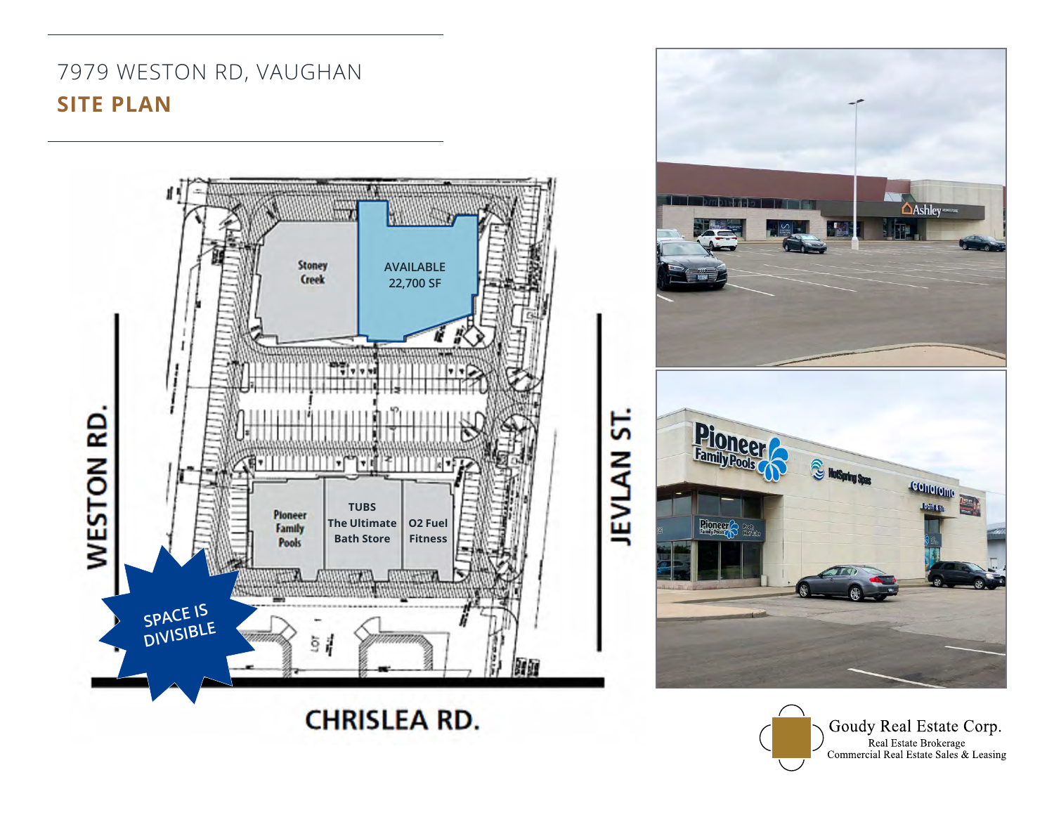## 7979 WESTON RD, VAUGHAN **SITE PLAN**



Goudy Real Estate Corp. Real Estate Brokerage<br>Commercial Real Estate Sales & Leasing